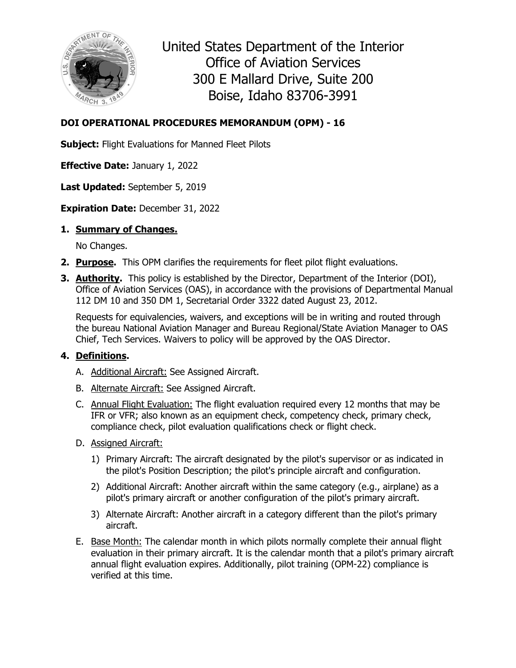

United States Department of the Interior Office of Aviation Services 300 E Mallard Drive, Suite 200 Boise, Idaho 83706-3991

# **DOI OPERATIONAL PROCEDURES MEMORANDUM (OPM) - 16**

**Subject:** Flight Evaluations for Manned Fleet Pilots

**Effective Date:** January 1, 2022

**Last Updated:** September 5, 2019

## **Expiration Date:** December 31, 2022

## **1. Summary of Changes.**

No Changes.

- **2. Purpose.** This OPM clarifies the requirements for fleet pilot flight evaluations.
- **3. Authority.** This policy is established by the Director, Department of the Interior (DOI), Office of Aviation Services (OAS), in accordance with the provisions of Departmental Manual 112 DM 10 and 350 DM 1, Secretarial Order 3322 dated August 23, 2012.

Requests for equivalencies, waivers, and exceptions will be in writing and routed through the bureau National Aviation Manager and Bureau Regional/State Aviation Manager to OAS Chief, Tech Services. Waivers to policy will be approved by the OAS Director.

# **4. Definitions.**

- A. Additional Aircraft: See Assigned Aircraft.
- B. Alternate Aircraft: See Assigned Aircraft.
- C. Annual Flight Evaluation: The flight evaluation required every 12 months that may be IFR or VFR; also known as an equipment check, competency check, primary check, compliance check, pilot evaluation qualifications check or flight check.
- D. Assigned Aircraft:
	- 1) Primary Aircraft: The aircraft designated by the pilot's supervisor or as indicated in the pilot's Position Description; the pilot's principle aircraft and configuration.
	- 2) Additional Aircraft: Another aircraft within the same category (e.g., airplane) as a pilot's primary aircraft or another configuration of the pilot's primary aircraft.
	- 3) Alternate Aircraft: Another aircraft in a category different than the pilot's primary aircraft.
- E. Base Month: The calendar month in which pilots normally complete their annual flight evaluation in their primary aircraft. It is the calendar month that a pilot's primary aircraft annual flight evaluation expires. Additionally, pilot training (OPM-22) compliance is verified at this time.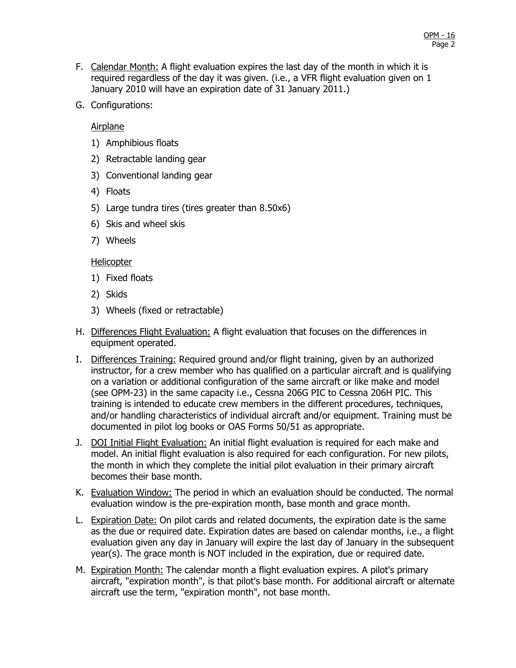- F. Calendar Month: A flight evaluation expires the last day of the month in which it is required regardless of the day it was given. (i.e., a VFR flight evaluation given on 1 January 2010 will have an expiration date of 31 January 2011.)
- G. Configurations:

Airplane

- 1) Amphibious floats
- 2) Retractable landing gear
- 3) Conventional landing gear
- 4) Floats
- 5) Large tundra tires (tires greater than 8.50x6)
- 6) Skis and wheel skis
- 7) Wheels

#### **Helicopter**

- 1) Fixed floats
- 2) Skids
- 3) Wheels (fixed or retractable)
- H. Differences Flight Evaluation: A flight evaluation that focuses on the differences in equipment operated.
- I. Differences Training: Required ground and/or flight training, given by an authorized instructor, for a crew member who has qualified on a particular aircraft and is qualifying on a variation or additional configuration of the same aircraft or like make and model (see OPM-23) in the same capacity i.e., Cessna 206G PIC to Cessna 206H PIC. This training is intended to educate crew members in the different procedures, techniques, and/or handling characteristics of individual aircraft and/or equipment. Training must be documented in pilot log books or OAS Forms 50/51 as appropriate.
- J. DOI Initial Flight Evaluation: An initial flight evaluation is required for each make and model. An initial flight evaluation is also required for each configuration. For new pilots, the month in which they complete the initial pilot evaluation in their primary aircraft becomes their base month.
- K. Evaluation Window: The period in which an evaluation should be conducted. The normal evaluation window is the pre-expiration month, base month and grace month.
- L. Expiration Date: On pilot cards and related documents, the expiration date is the same as the due or required date. Expiration dates are based on calendar months, i.e., a flight evaluation given any day in January will expire the last day of January in the subsequent year(s). The grace month is NOT included in the expiration, due or required date.
- M. Expiration Month: The calendar month a flight evaluation expires. A pilot's primary aircraft, "expiration month", is that pilot's base month. For additional aircraft or alternate aircraft use the term, "expiration month", not base month.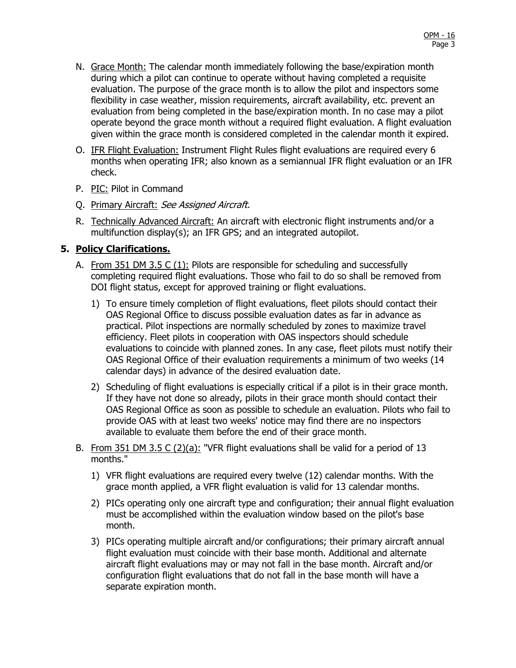- N. Grace Month: The calendar month immediately following the base/expiration month during which a pilot can continue to operate without having completed a requisite evaluation. The purpose of the grace month is to allow the pilot and inspectors some flexibility in case weather, mission requirements, aircraft availability, etc. prevent an evaluation from being completed in the base/expiration month. In no case may a pilot operate beyond the grace month without a required flight evaluation. A flight evaluation given within the grace month is considered completed in the calendar month it expired.
- O. IFR Flight Evaluation: Instrument Flight Rules flight evaluations are required every 6 months when operating IFR; also known as a semiannual IFR flight evaluation or an IFR check.
- P. PIC: Pilot in Command
- O. Primary Aircraft: See Assigned Aircraft.
- R. Technically Advanced Aircraft: An aircraft with electronic flight instruments and/or a multifunction display(s); an IFR GPS; and an integrated autopilot.

### **5. Policy Clarifications.**

- A. From 351 DM 3.5 C (1): Pilots are responsible for scheduling and successfully completing required flight evaluations. Those who fail to do so shall be removed from DOI flight status, except for approved training or flight evaluations.
	- 1) To ensure timely completion of flight evaluations, fleet pilots should contact their OAS Regional Office to discuss possible evaluation dates as far in advance as practical. Pilot inspections are normally scheduled by zones to maximize travel efficiency. Fleet pilots in cooperation with OAS inspectors should schedule evaluations to coincide with planned zones. In any case, fleet pilots must notify their OAS Regional Office of their evaluation requirements a minimum of two weeks (14 calendar days) in advance of the desired evaluation date.
	- 2) Scheduling of flight evaluations is especially critical if a pilot is in their grace month. If they have not done so already, pilots in their grace month should contact their OAS Regional Office as soon as possible to schedule an evaluation. Pilots who fail to provide OAS with at least two weeks' notice may find there are no inspectors available to evaluate them before the end of their grace month.
- B. From 351 DM 3.5 C  $(2)(a)$ : "VFR flight evaluations shall be valid for a period of 13 months."
	- 1) VFR flight evaluations are required every twelve (12) calendar months. With the grace month applied, a VFR flight evaluation is valid for 13 calendar months.
	- 2) PICs operating only one aircraft type and configuration; their annual flight evaluation must be accomplished within the evaluation window based on the pilot's base month.
	- 3) PICs operating multiple aircraft and/or configurations; their primary aircraft annual flight evaluation must coincide with their base month. Additional and alternate aircraft flight evaluations may or may not fall in the base month. Aircraft and/or configuration flight evaluations that do not fall in the base month will have a separate expiration month.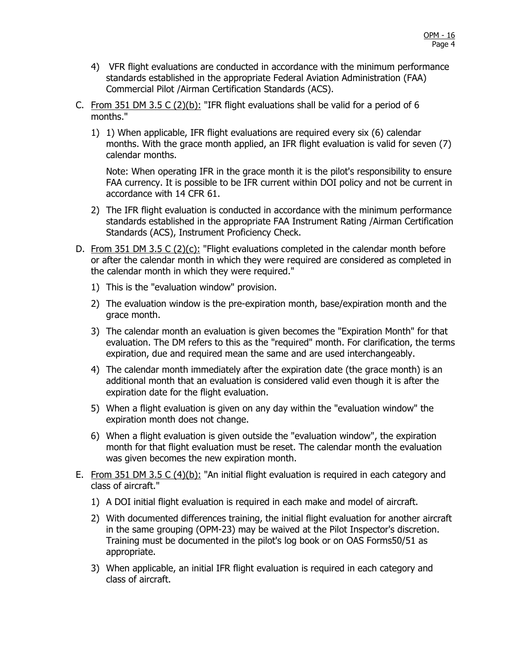- 4) VFR flight evaluations are conducted in accordance with the minimum performance standards established in the appropriate Federal Aviation Administration (FAA) Commercial Pilot /Airman Certification Standards (ACS).
- C. From 351 DM 3.5 C  $(2)(b)$ : "IFR flight evaluations shall be valid for a period of 6 months."
	- 1) 1) When applicable, IFR flight evaluations are required every six (6) calendar months. With the grace month applied, an IFR flight evaluation is valid for seven (7) calendar months.

Note: When operating IFR in the grace month it is the pilot's responsibility to ensure FAA currency. It is possible to be IFR current within DOI policy and not be current in accordance with 14 CFR 61.

- 2) The IFR flight evaluation is conducted in accordance with the minimum performance standards established in the appropriate FAA Instrument Rating /Airman Certification Standards (ACS), Instrument Proficiency Check.
- D. From 351 DM 3.5 C  $(2)(c)$ : "Flight evaluations completed in the calendar month before or after the calendar month in which they were required are considered as completed in the calendar month in which they were required."
	- 1) This is the "evaluation window" provision.
	- 2) The evaluation window is the pre-expiration month, base/expiration month and the grace month.
	- 3) The calendar month an evaluation is given becomes the "Expiration Month" for that evaluation. The DM refers to this as the "required" month. For clarification, the terms expiration, due and required mean the same and are used interchangeably.
	- 4) The calendar month immediately after the expiration date (the grace month) is an additional month that an evaluation is considered valid even though it is after the expiration date for the flight evaluation.
	- 5) When a flight evaluation is given on any day within the "evaluation window" the expiration month does not change.
	- 6) When a flight evaluation is given outside the "evaluation window", the expiration month for that flight evaluation must be reset. The calendar month the evaluation was given becomes the new expiration month.
- E. From 351 DM 3.5 C (4)(b): "An initial flight evaluation is required in each category and class of aircraft."
	- 1) A DOI initial flight evaluation is required in each make and model of aircraft.
	- 2) With documented differences training, the initial flight evaluation for another aircraft in the same grouping (OPM-23) may be waived at the Pilot Inspector's discretion. Training must be documented in the pilot's log book or on OAS Forms50/51 as appropriate.
	- 3) When applicable, an initial IFR flight evaluation is required in each category and class of aircraft.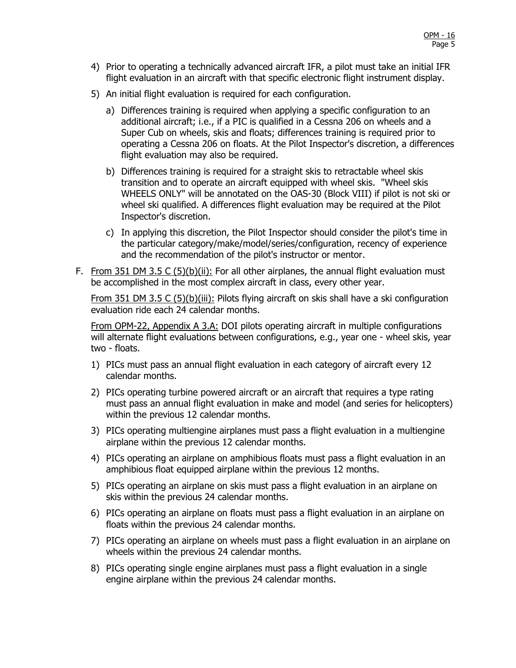- 4) Prior to operating a technically advanced aircraft IFR, a pilot must take an initial IFR flight evaluation in an aircraft with that specific electronic flight instrument display.
- 5) An initial flight evaluation is required for each configuration.
	- a) Differences training is required when applying a specific configuration to an additional aircraft; i.e., if a PIC is qualified in a Cessna 206 on wheels and a Super Cub on wheels, skis and floats; differences training is required prior to operating a Cessna 206 on floats. At the Pilot Inspector's discretion, a differences flight evaluation may also be required.
	- b) Differences training is required for a straight skis to retractable wheel skis transition and to operate an aircraft equipped with wheel skis. "Wheel skis WHEELS ONLY" will be annotated on the OAS-30 (Block VIII) if pilot is not ski or wheel ski qualified. A differences flight evaluation may be required at the Pilot Inspector's discretion.
	- c) In applying this discretion, the Pilot Inspector should consider the pilot's time in the particular category/make/model/series/configuration, recency of experience and the recommendation of the pilot's instructor or mentor.
- F. From 351 DM 3.5 C  $(5)(b)(ii)$ : For all other airplanes, the annual flight evaluation must be accomplished in the most complex aircraft in class, every other year.

From 351 DM 3.5 C (5)(b)(iii): Pilots flying aircraft on skis shall have a ski configuration evaluation ride each 24 calendar months.

From OPM-22, Appendix A 3.A: DOI pilots operating aircraft in multiple configurations will alternate flight evaluations between configurations, e.g., year one - wheel skis, year two - floats.

- 1) PICs must pass an annual flight evaluation in each category of aircraft every 12 calendar months.
- 2) PICs operating turbine powered aircraft or an aircraft that requires a type rating must pass an annual flight evaluation in make and model (and series for helicopters) within the previous 12 calendar months.
- 3) PICs operating multiengine airplanes must pass a flight evaluation in a multiengine airplane within the previous 12 calendar months.
- 4) PICs operating an airplane on amphibious floats must pass a flight evaluation in an amphibious float equipped airplane within the previous 12 months.
- 5) PICs operating an airplane on skis must pass a flight evaluation in an airplane on skis within the previous 24 calendar months.
- 6) PICs operating an airplane on floats must pass a flight evaluation in an airplane on floats within the previous 24 calendar months.
- 7) PICs operating an airplane on wheels must pass a flight evaluation in an airplane on wheels within the previous 24 calendar months.
- 8) PICs operating single engine airplanes must pass a flight evaluation in a single engine airplane within the previous 24 calendar months.